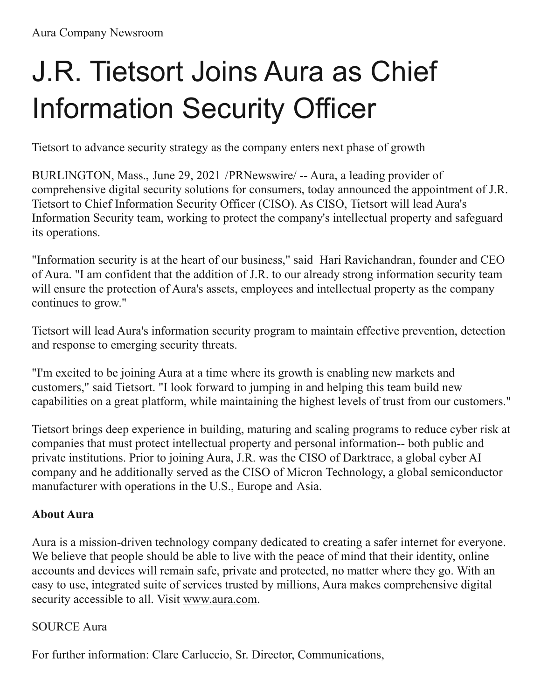## J.R. Tietsort Joins Aura as Chief Information Security Officer

Tietsort to advance security strategy as the company enters next phase of growth

BURLINGTON, Mass., June 29, 2021 /[PRNewswire/](http://www.prnewswire.com/) -- Aura, a leading provider of comprehensive digital security solutions for consumers, today announced the appointment of J.R. Tietsort to Chief Information Security Officer (CISO). As CISO, Tietsort will lead Aura's Information Security team, working to protect the company's intellectual property and safeguard its operations.

"Information security is at the heart of our business," said Hari Ravichandran, founder and CEO of Aura. "I am confident that the addition of J.R. to our already strong information security team will ensure the protection of Aura's assets, employees and intellectual property as the company continues to grow."

Tietsort will lead Aura's information security program to maintain effective prevention, detection and response to emerging security threats.

"I'm excited to be joining Aura at a time where its growth is enabling new markets and customers," said Tietsort. "I look forward to jumping in and helping this team build new capabilities on a great platform, while maintaining the highest levels of trust from our customers."

Tietsort brings deep experience in building, maturing and scaling programs to reduce cyber risk at companies that must protect intellectual property and personal information-- both public and private institutions. Prior to joining Aura, J.R. was the CISO of Darktrace, a global cyber AI company and he additionally served as the CISO of Micron Technology, a global semiconductor manufacturer with operations in the U.S., Europe and Asia.

## **About Aura**

Aura is a mission-driven technology company dedicated to creating a safer internet for everyone. We believe that people should be able to live with the peace of mind that their identity, online accounts and devices will remain safe, private and protected, no matter where they go. With an easy to use, integrated suite of services trusted by millions, Aura makes comprehensive digital security accessible to all. Visit [www.aura.com](https://c212.net/c/link/?t=0&l=en&o=3210071-1&h=3649031262&u=http%3A%2F%2Fwww.aura.com%2F&a=www.aura.com).

## SOURCE Aura

For further information: Clare Carluccio, Sr. Director, Communications,